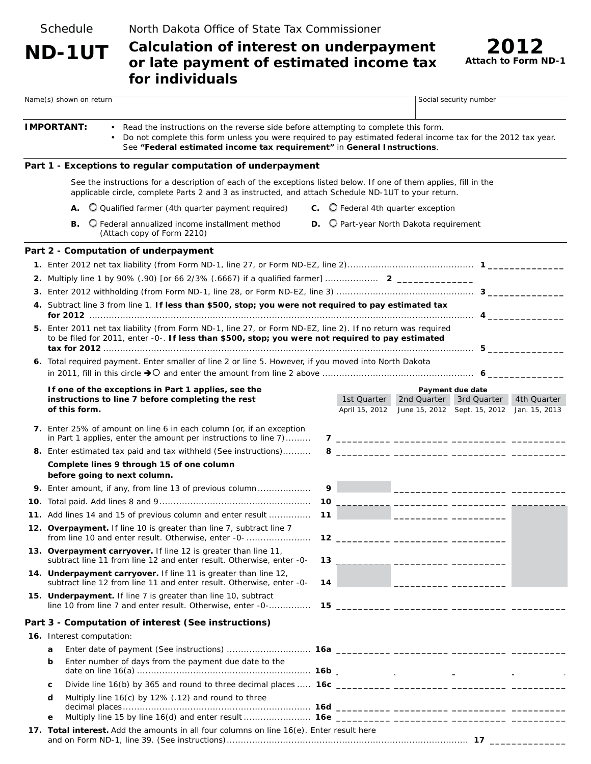**Schedule** 

North Dakota Office of State Tax Commissioner

# **Calculation of interest on underpayment ND-1UT** *2012* **or late payment of estimated income tax for individuals**



|                                                                                                                                                                                    | Name(s) shown on return                                                                                                                                                                                                   |    | Social security number                                                                                        |                                                                                                                       |                                                                                                                                                                                                                                                                                                                                                                                                                                                                                   |             |  |
|------------------------------------------------------------------------------------------------------------------------------------------------------------------------------------|---------------------------------------------------------------------------------------------------------------------------------------------------------------------------------------------------------------------------|----|---------------------------------------------------------------------------------------------------------------|-----------------------------------------------------------------------------------------------------------------------|-----------------------------------------------------------------------------------------------------------------------------------------------------------------------------------------------------------------------------------------------------------------------------------------------------------------------------------------------------------------------------------------------------------------------------------------------------------------------------------|-------------|--|
| <b>IMPORTANT:</b><br>Read the instructions on the reverse side before attempting to complete this form.<br>See "Federal estimated income tax requirement" in General Instructions. |                                                                                                                                                                                                                           |    | Do not complete this form unless you were required to pay estimated federal income tax for the 2012 tax year. |                                                                                                                       |                                                                                                                                                                                                                                                                                                                                                                                                                                                                                   |             |  |
|                                                                                                                                                                                    | Part 1 - Exceptions to regular computation of underpayment                                                                                                                                                                |    |                                                                                                               |                                                                                                                       |                                                                                                                                                                                                                                                                                                                                                                                                                                                                                   |             |  |
|                                                                                                                                                                                    | See the instructions for a description of each of the exceptions listed below. If one of them applies, fill in the<br>applicable circle, complete Parts 2 and 3 as instructed, and attach Schedule ND-1UT to your return. |    |                                                                                                               |                                                                                                                       |                                                                                                                                                                                                                                                                                                                                                                                                                                                                                   |             |  |
|                                                                                                                                                                                    | Q Qualified farmer (4th quarter payment required)<br>А.                                                                                                                                                                   |    | $\mathbf C.$ $\mathbf C$ Federal 4th quarter exception                                                        |                                                                                                                       |                                                                                                                                                                                                                                                                                                                                                                                                                                                                                   |             |  |
|                                                                                                                                                                                    | O Federal annualized income installment method<br>В.<br>(Attach copy of Form 2210)                                                                                                                                        |    | D. O Part-year North Dakota requirement                                                                       |                                                                                                                       |                                                                                                                                                                                                                                                                                                                                                                                                                                                                                   |             |  |
|                                                                                                                                                                                    | Part 2 - Computation of underpayment                                                                                                                                                                                      |    |                                                                                                               |                                                                                                                       |                                                                                                                                                                                                                                                                                                                                                                                                                                                                                   |             |  |
|                                                                                                                                                                                    |                                                                                                                                                                                                                           |    |                                                                                                               |                                                                                                                       |                                                                                                                                                                                                                                                                                                                                                                                                                                                                                   |             |  |
|                                                                                                                                                                                    |                                                                                                                                                                                                                           |    |                                                                                                               |                                                                                                                       |                                                                                                                                                                                                                                                                                                                                                                                                                                                                                   |             |  |
|                                                                                                                                                                                    |                                                                                                                                                                                                                           |    |                                                                                                               |                                                                                                                       |                                                                                                                                                                                                                                                                                                                                                                                                                                                                                   |             |  |
|                                                                                                                                                                                    | 4. Subtract line 3 from line 1. If less than \$500, stop; you were not required to pay estimated tax                                                                                                                      |    |                                                                                                               |                                                                                                                       |                                                                                                                                                                                                                                                                                                                                                                                                                                                                                   |             |  |
|                                                                                                                                                                                    |                                                                                                                                                                                                                           |    |                                                                                                               |                                                                                                                       |                                                                                                                                                                                                                                                                                                                                                                                                                                                                                   |             |  |
|                                                                                                                                                                                    | 5. Enter 2011 net tax liability (from Form ND-1, line 27, or Form ND-EZ, line 2). If no return was required<br>to be filed for 2011, enter -0-. If less than \$500, stop; you were not required to pay estimated          |    |                                                                                                               |                                                                                                                       |                                                                                                                                                                                                                                                                                                                                                                                                                                                                                   |             |  |
|                                                                                                                                                                                    | 6. Total required payment. Enter smaller of line 2 or line 5. However, if you moved into North Dakota                                                                                                                     |    |                                                                                                               |                                                                                                                       |                                                                                                                                                                                                                                                                                                                                                                                                                                                                                   |             |  |
|                                                                                                                                                                                    | If one of the exceptions in Part 1 applies, see the                                                                                                                                                                       |    |                                                                                                               |                                                                                                                       | Payment due date                                                                                                                                                                                                                                                                                                                                                                                                                                                                  |             |  |
|                                                                                                                                                                                    | instructions to line 7 before completing the rest<br>of this form.                                                                                                                                                        |    | 1st Quarter<br>April 15, 2012                                                                                 |                                                                                                                       | 2nd Quarter 3rd Quarter<br>June 15, 2012 Sept. 15, 2012 Jan. 15, 2013                                                                                                                                                                                                                                                                                                                                                                                                             | 4th Quarter |  |
|                                                                                                                                                                                    | 7. Enter 25% of amount on line 6 in each column (or, if an exception<br>in Part 1 applies, enter the amount per instructions to line 7)                                                                                   |    |                                                                                                               |                                                                                                                       |                                                                                                                                                                                                                                                                                                                                                                                                                                                                                   |             |  |
|                                                                                                                                                                                    | 8. Enter estimated tax paid and tax withheld (See instructions)                                                                                                                                                           |    |                                                                                                               |                                                                                                                       |                                                                                                                                                                                                                                                                                                                                                                                                                                                                                   |             |  |
|                                                                                                                                                                                    | Complete lines 9 through 15 of one column<br>before going to next column.                                                                                                                                                 |    |                                                                                                               |                                                                                                                       |                                                                                                                                                                                                                                                                                                                                                                                                                                                                                   |             |  |
|                                                                                                                                                                                    | 9. Enter amount, if any, from line 13 of previous column                                                                                                                                                                  | 9  |                                                                                                               |                                                                                                                       |                                                                                                                                                                                                                                                                                                                                                                                                                                                                                   |             |  |
|                                                                                                                                                                                    |                                                                                                                                                                                                                           |    |                                                                                                               |                                                                                                                       |                                                                                                                                                                                                                                                                                                                                                                                                                                                                                   |             |  |
|                                                                                                                                                                                    | 11. Add lines 14 and 15 of previous column and enter result                                                                                                                                                               | 11 |                                                                                                               | <u> 1989 - Johann Marie Barn, mars eta industrial eta industrial eta industrial eta industrial eta industrial eta</u> |                                                                                                                                                                                                                                                                                                                                                                                                                                                                                   |             |  |
|                                                                                                                                                                                    | 12. Overpayment. If line 10 is greater than line 7, subtract line 7<br>from line 10 and enter result. Otherwise, enter -0-                                                                                                |    |                                                                                                               |                                                                                                                       |                                                                                                                                                                                                                                                                                                                                                                                                                                                                                   |             |  |
|                                                                                                                                                                                    | 13. Overpayment carryover. If line 12 is greater than line 11,<br>subtract line 11 from line 12 and enter result. Otherwise, enter -0-                                                                                    | 13 |                                                                                                               |                                                                                                                       |                                                                                                                                                                                                                                                                                                                                                                                                                                                                                   |             |  |
|                                                                                                                                                                                    | 14. Underpayment carryover. If line 11 is greater than line 12,<br>subtract line 12 from line 11 and enter result. Otherwise, enter -0-                                                                                   | 14 |                                                                                                               |                                                                                                                       |                                                                                                                                                                                                                                                                                                                                                                                                                                                                                   |             |  |
|                                                                                                                                                                                    | 15. Underpayment. If line 7 is greater than line 10, subtract<br>line 10 from line 7 and enter result. Otherwise, enter -0-                                                                                               |    | 15 __________ __________ ____________ ___                                                                     |                                                                                                                       |                                                                                                                                                                                                                                                                                                                                                                                                                                                                                   |             |  |
|                                                                                                                                                                                    | Part 3 - Computation of interest (See instructions)                                                                                                                                                                       |    |                                                                                                               |                                                                                                                       |                                                                                                                                                                                                                                                                                                                                                                                                                                                                                   |             |  |
|                                                                                                                                                                                    | 16. Interest computation:                                                                                                                                                                                                 |    |                                                                                                               |                                                                                                                       |                                                                                                                                                                                                                                                                                                                                                                                                                                                                                   |             |  |
|                                                                                                                                                                                    | a                                                                                                                                                                                                                         |    |                                                                                                               |                                                                                                                       |                                                                                                                                                                                                                                                                                                                                                                                                                                                                                   |             |  |
|                                                                                                                                                                                    | Enter number of days from the payment due date to the<br>b                                                                                                                                                                |    |                                                                                                               | $\sim$ $\sim$                                                                                                         | $\sim 10^{-10}$ m $^{-1}$                                                                                                                                                                                                                                                                                                                                                                                                                                                         |             |  |
|                                                                                                                                                                                    | Divide line 16(b) by 365 and round to three decimal places  16c<br>С                                                                                                                                                      |    | $\sim$ $\sim$                                                                                                 |                                                                                                                       | $\begin{aligned} \mathbf{1}_{\text{in}} & \mathbf{1}_{\text{in}} & \mathbf{1}_{\text{in}} & \mathbf{1}_{\text{in}} & \mathbf{1}_{\text{in}} & \mathbf{1}_{\text{in}} & \mathbf{1}_{\text{in}} & \mathbf{1}_{\text{in}} & \mathbf{1}_{\text{in}} & \mathbf{1}_{\text{in}} & \mathbf{1}_{\text{in}} & \mathbf{1}_{\text{in}} & \mathbf{1}_{\text{in}} & \mathbf{1}_{\text{in}} & \mathbf{1}_{\text{in}} & \mathbf{1}_{\text{in}} & \mathbf{1}_{\text{in}} & \mathbf{1}_{\text{in}}$ |             |  |
|                                                                                                                                                                                    | Multiply line 16(c) by 12% (.12) and round to three<br>d                                                                                                                                                                  |    |                                                                                                               |                                                                                                                       |                                                                                                                                                                                                                                                                                                                                                                                                                                                                                   |             |  |
|                                                                                                                                                                                    | е                                                                                                                                                                                                                         |    |                                                                                                               |                                                                                                                       |                                                                                                                                                                                                                                                                                                                                                                                                                                                                                   |             |  |
|                                                                                                                                                                                    | 17. Total interest. Add the amounts in all four columns on line 16(e). Enter result here                                                                                                                                  |    |                                                                                                               |                                                                                                                       |                                                                                                                                                                                                                                                                                                                                                                                                                                                                                   |             |  |